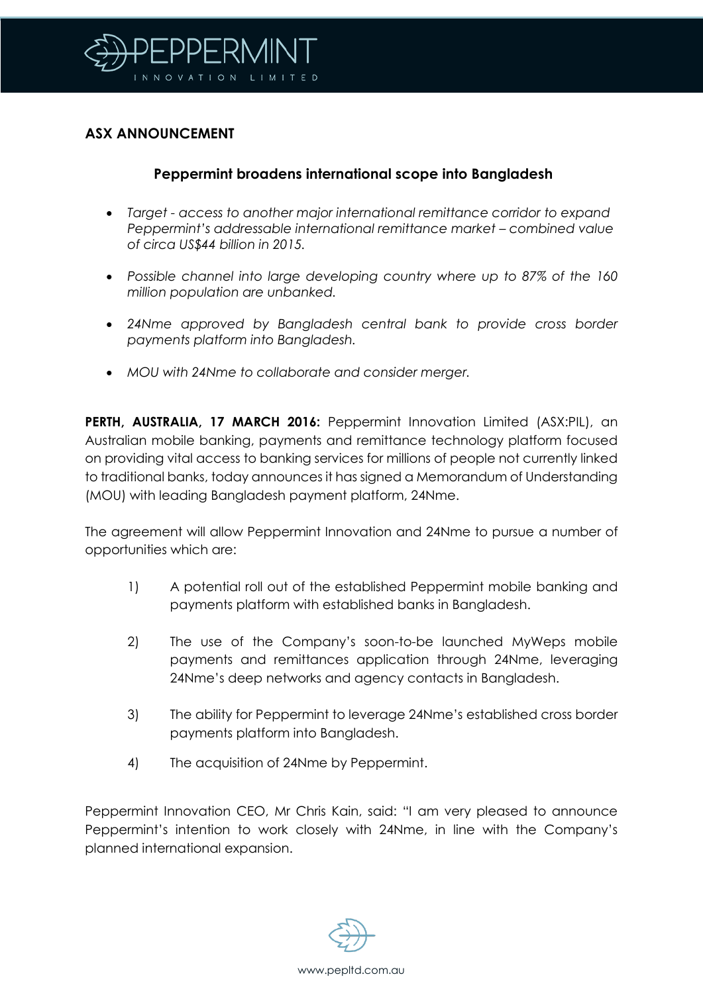

# **ASX ANNOUNCEMENT**

## **Peppermint broadens international scope into Bangladesh**

- *Target - access to another major international remittance corridor to expand Peppermint's addressable international remittance market – combined value of circa US\$44 billion in 2015.*
- *Possible channel into large developing country where up to 87% of the 160 million population are unbanked.*
- *24Nme approved by Bangladesh central bank to provide cross border payments platform into Bangladesh.*
- *MOU with 24Nme to collaborate and consider merger.*

**PERTH, AUSTRALIA, 17 MARCH 2016:** Peppermint Innovation Limited (ASX:PIL), an Australian mobile banking, payments and remittance technology platform focused on providing vital access to banking services for millions of people not currently linked to traditional banks, today announces it has signed a Memorandum of Understanding (MOU) with leading Bangladesh payment platform, 24Nme.

The agreement will allow Peppermint Innovation and 24Nme to pursue a number of opportunities which are:

- 1) A potential roll out of the established Peppermint mobile banking and payments platform with established banks in Bangladesh.
- 2) The use of the Company's soon-to-be launched MyWeps mobile payments and remittances application through 24Nme, leveraging 24Nme's deep networks and agency contacts in Bangladesh.
- 3) The ability for Peppermint to leverage 24Nme's established cross border payments platform into Bangladesh.
- 4) The acquisition of 24Nme by Peppermint.

Peppermint Innovation CEO, Mr Chris Kain, said: "I am very pleased to announce Peppermint's intention to work closely with 24Nme, in line with the Company's planned international expansion.